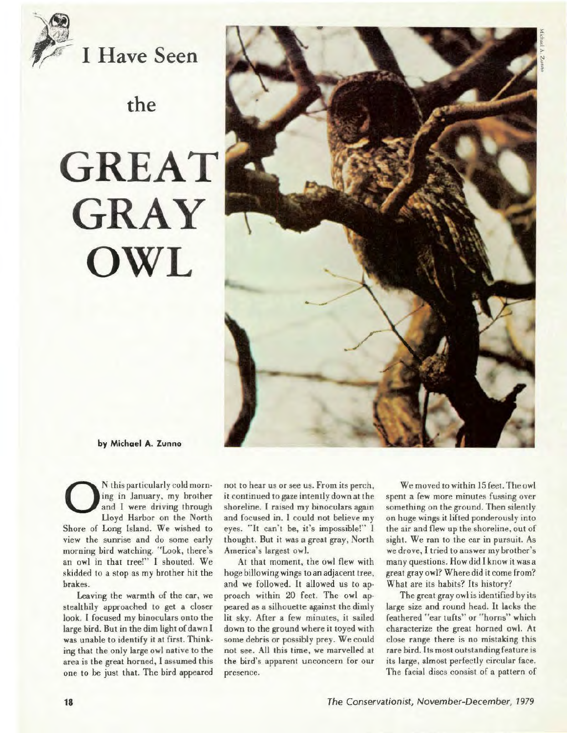

\~**f7 I Have Seen** 

## **the**

## **GREAT GRAY OWL**



**by Michael A. Zunno** 

0 N this particularly cold morning in January, my brother and I were driving through Lloyd Harbor on the North Shore of Long lsland. We wished to view the sunrise and do some early morning bird watching. "Look, there's an owl in that tree!" I shouted. We skidded to a stop as my brother hit the brakes.

Leaving the warmth of the car, we stealthily approached to get a closer look. I focused my binoculars onto the large bird. But in the dim light of dawn I was unable to identify it at first. Thinking that the only large owl native to the area is the great horned, I assumed this one to be just that. The bird appeared not to hear us or see us. From its perch, it continued to gaze intently down at the shoreline. I raised my binoculars again and focused in. I could not believe my eyes. "It can't be, it's impossible!" I thought. But it was a great gray, North America's largest owl.

At that moment, the owl flew with hoge billowing wings to an adjacent tree, and we followed. It allowed us to approach within 20 feet. The owl appeared as a silhouette against the dimly lit sky. After a few minutes, it sailed down to the ground where it toyed with some debris or possibly prey. We could not see. All this time, we marvelled at the bird's apparent unconcern for our presence.

We moved to within 15 feet. The owl spent a few more minutes fussing over something on the ground. Then silently on huge wings it lifted ponderously into the air and flew up the shoreline, out of sight. We ran to the car in pursuit. As we drove, I tried to answer my brother's many questions. How did I know it was a great gray owl? Where did it come from? Whal are its habits? Its history?

The great gray owl is identified by its large size and round head. lt lacks the feathered "ear tufts" or "horns" which characterize the great horned owl. At close range there is no mistaking this rare bird. Its most outstanding feature is its large, almost perfectly circular face. The facial discs consist of a pattern of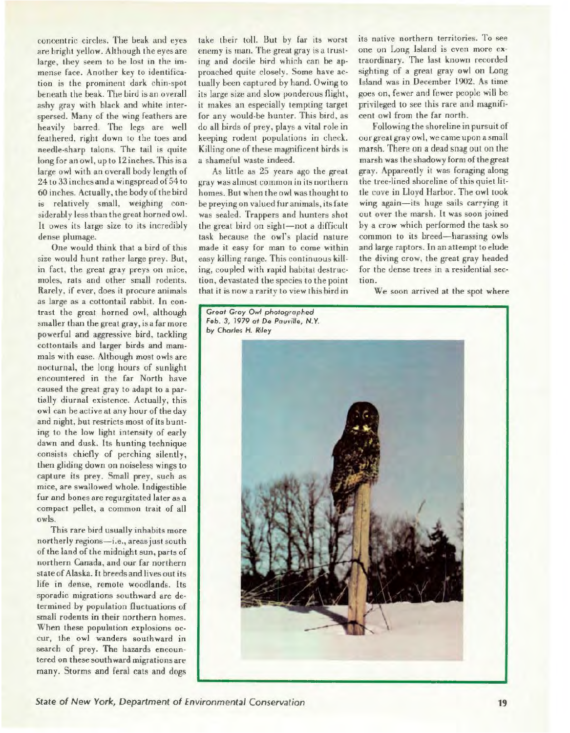concentric circles. The beak nnd eyes are bright yellow. Although the eyes are large, they seem to be lost in the immense face. Another key to identification is the prominent dark chin-spot beneath the beak. The bird is an overall ashy gray with black and white interspersed. Many of the wing feathers are heavily barred. The legs are well feathered, right down to the toes and needle-sharp talons. The tail is quite long for an owl, up to 12 inches. This isa large owl with an overall body length of 24 to 33 inches and a wingspread of 54 to 60 inches. Actually, the body of the bird is relatively small. weighing considerably less than the great horned owl. It owes its large size to its incredibly dense plumage.

One would think that a bird of this size would hunt rather large prey. But, in fact, the great gray preys on mice, moles, rals and other small rodents. Rarely, if ever, does it procure animals as large as a cottontail rabbit. ln contrast the great horned owl, although smaller than the great gray, is a far more powerful and aggressive bird, tackling cottontails and larger birds and mammals with case. Although most owls are nocturnal, the long hours of sunlight encountered in the far North have caused the great gray to adapt to a partially diurnal existence. Actually, this owl can be active at any hour of the day and night, but restricts most of its bunting to the low light intensity of early dawn and dusk. Its hunting technique consists chiefly of perching silently, then gliding down on noiseless wings to capture its prey. Small prey, such as mice, are swallowed whole. Indigestible fur and bones are regurgitated later as a compact pellet, a common trait of all owls.

This rare bird usually inhabits more northerly regions-i.e., areas just south of the land of the midnight sun, parts of northern Canada, and our far northern state of Alaska. It breeds and lives out its life in dense, remote woodlands. Its sporadic migrations southward arc determined by population fluctuations of small rodents in their northern homes. When these population explosions occur, the owl wanders southward in search of prey. The hazards encountered on these southward migrations are many. Storms and feral cats and dogs

take their toll. But by far its wurst enemy is man. The great gray is a Irusting and docile bird which can be approached quite closely. Some have actually been captured by hand. Owing to its large size and slow ponderous flight, it makes an especially tempting target for any would-be hunter. This bird, as do all birds of prey, plays a vital role in keeping rodent populations in check. Killing one of these magnificent birds is a shameful waste indeed.

As little as 25 years ago the great gray was almost common in ils northern homes. But when the owl was thought lo be preying on valued fur animals, its fate was sealed. Trappers and hunters shot the great bird on sight-not a difficult task because the owl's placid nature made it easy for man to come within easy killing range. This continuous killing, coupled with rapid habitat destruction. devastated the species to the point that it is now a rarity to view this bird in its native northern territories. To see one on Long island is even more ex· traordinary. The last known recorded sighting of a great gray owl on Long Island was in December 1902. As time goes on, fewer and fewer people will be privileged to see this rare and magnificent owl from the far north.

Following the shoreline in pursuit of our great gray owl, we came upon a small marsh. There on a dead snag out on the marsh was the shadowy form of the great gray. Apparently ii was foraging along the tree-lined shoreline of this quiet little cove in Lloyd Harbor. The owl took wing again-its huge sails carrying **it**  out over the marsh. **lt** was soon joined by a crow which performed the task so common to its breed-harassing owls and large raptors. In an attempt to elude the diving crow, the great gray headed for the dense trees in a residential section.

**We** soon arrived al the spot where

*Great Gray* Owl *photographed Feb. 3, 1979* al *De Pauvi//e, N.* Y. *by Charles H. Riley* 

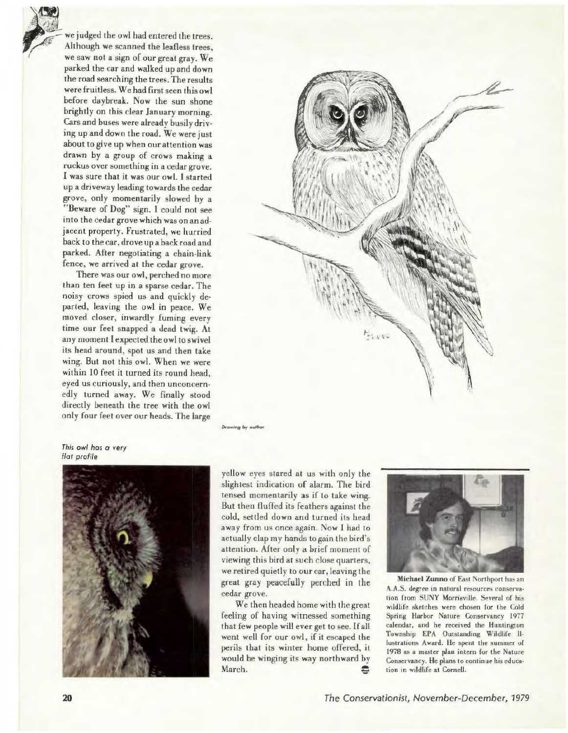*x*<br>*x*  $\frac{1}{\sqrt{2}}$ <br>*x*  $\frac{1}{\sqrt{2}}$ <br>*x*  $\frac{1}{\sqrt{2}}$ <br>*x*  $\frac{1}{\sqrt{2}}$ <br>*x*  $\frac{1}{\sqrt{2}}$ 

we judged the owl had entered the trees. Although we scanned the leafless trees, we saw not a sign of our great gray. We parked the car and walked up and down the road searching the trees. The results were fruitless. We had first seen this owl before daybreak. Now the sun shone brightly on this clear January morning. Cars and buses were already busily driving up and down the road. We were just about to give up when our attention was drawn by a group of crows making a ruckus over something in a cedar grove. I was sure that it was our owl. l started up a driveway leading towards the cedar grove, only momentarily slowed by a "Beware of Dog" sign. I could not see into the cedar grove which was on an adjacent property. Frustrated, we hurried back to the car, drove up a back road and parked. After negotiating a chain-link fence, we arrived at the cedar grove.

There was our owl, perched no more than ten feet up in a sparse cedar. The noisy crows spied us and quickly departed, leaving the owl in peace. We moved closer, inwardly fuming every time our feet snapped a dead twig. At any moment Iexpected the owl to swivel its head around, spot us and then take wing. But not this owl. When we were within 10 feet it turned its round head, eyed us curiously, and then unconcernedly turned away. We finally stood directly beneath the tree with the owl only four feet over our heads. The large



**Drawing by outho** 

This owl has a very flat profile



yellow eyes stared at us with only the slightest indication of alarm. The bird tensed momentarily as if to take wing. But then fluffed its feathers against the cold, settled down and turned its head away from us once again. Now I had to actually clap my hands to gain the bird's attention. After only a brief moment of viewing this bird at such close quarters, we retired quietly to our car, leaving the great gray peacefully perched in the cedar grove.

We then headed homewith thegreat feeling of having witnessed something that few people will ever get to see. Ifall went well for our owl, if it escaped the perils that its winter home offered, it would be winging its way northward by March.  $\bullet$ 



**Michael Zunno** of East Northport has an A.A.S. degree in natural resources conservation from SUNY Morrisville. Several of his wildlife sketches were chosen for the Cold Spring Harbor Nature Conservancy 1977 calendar, and he received the Huntington Township EPA Outstanding Wildlife lllustrations Award. He spent the summer of 1978 as a master plan intern for the Nature Conservancy. He plans to continue his education in wildlife at Cornell.